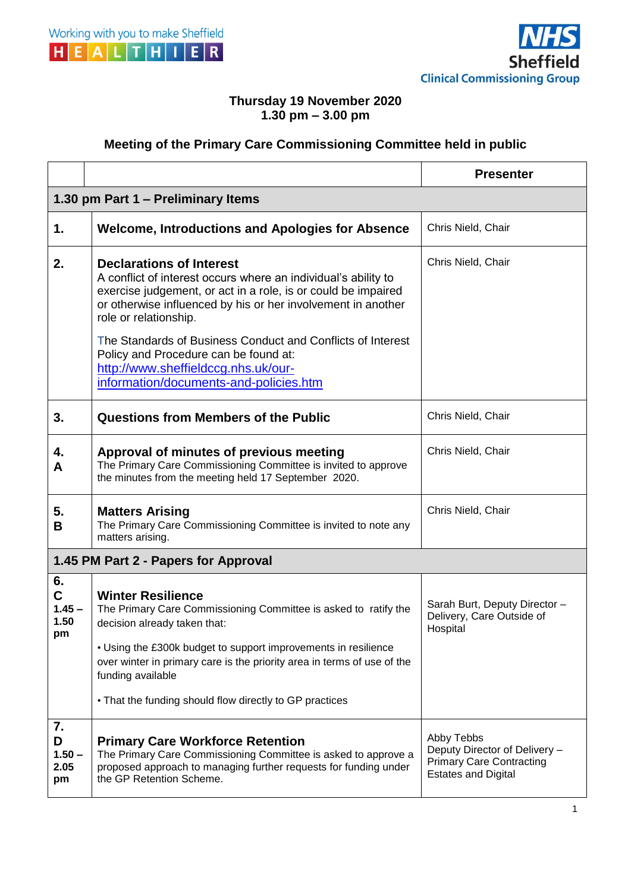



## **Thursday 19 November 2020 1.30 pm – 3.00 pm**

## **Meeting of the Primary Care Commissioning Committee held in public**

|                                      |                                                                                                                                                                                                                                                                                                                                                                                                                                                      | <b>Presenter</b>                                                                                             |  |
|--------------------------------------|------------------------------------------------------------------------------------------------------------------------------------------------------------------------------------------------------------------------------------------------------------------------------------------------------------------------------------------------------------------------------------------------------------------------------------------------------|--------------------------------------------------------------------------------------------------------------|--|
| 1.30 pm Part 1 – Preliminary Items   |                                                                                                                                                                                                                                                                                                                                                                                                                                                      |                                                                                                              |  |
| 1.                                   | <b>Welcome, Introductions and Apologies for Absence</b>                                                                                                                                                                                                                                                                                                                                                                                              | Chris Nield, Chair                                                                                           |  |
| 2.                                   | <b>Declarations of Interest</b><br>A conflict of interest occurs where an individual's ability to<br>exercise judgement, or act in a role, is or could be impaired<br>or otherwise influenced by his or her involvement in another<br>role or relationship.<br>The Standards of Business Conduct and Conflicts of Interest<br>Policy and Procedure can be found at:<br>http://www.sheffieldccg.nhs.uk/our-<br>information/documents-and-policies.htm | Chris Nield, Chair                                                                                           |  |
| 3.                                   | Questions from Members of the Public                                                                                                                                                                                                                                                                                                                                                                                                                 | Chris Nield, Chair                                                                                           |  |
| 4.<br>A                              | Approval of minutes of previous meeting<br>The Primary Care Commissioning Committee is invited to approve<br>the minutes from the meeting held 17 September 2020.                                                                                                                                                                                                                                                                                    | Chris Nield, Chair                                                                                           |  |
| 5.<br>B                              | <b>Matters Arising</b><br>The Primary Care Commissioning Committee is invited to note any<br>matters arising.                                                                                                                                                                                                                                                                                                                                        | Chris Nield, Chair                                                                                           |  |
| 1.45 PM Part 2 - Papers for Approval |                                                                                                                                                                                                                                                                                                                                                                                                                                                      |                                                                                                              |  |
| 6.<br>C<br>$1.45 -$<br>1.50<br>pm    | <b>Winter Resilience</b><br>The Primary Care Commissioning Committee is asked to ratify the<br>decision already taken that:<br>• Using the £300k budget to support improvements in resilience<br>over winter in primary care is the priority area in terms of use of the<br>funding available<br>• That the funding should flow directly to GP practices                                                                                             | Sarah Burt, Deputy Director -<br>Delivery, Care Outside of<br>Hospital                                       |  |
| 7.<br>D<br>$1.50 -$<br>2.05<br>pm    | <b>Primary Care Workforce Retention</b><br>The Primary Care Commissioning Committee is asked to approve a<br>proposed approach to managing further requests for funding under<br>the GP Retention Scheme.                                                                                                                                                                                                                                            | Abby Tebbs<br>Deputy Director of Delivery -<br><b>Primary Care Contracting</b><br><b>Estates and Digital</b> |  |